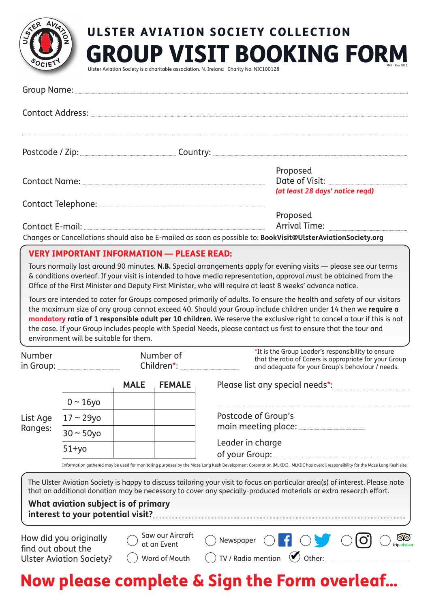

# GROUP VISIT BOOKING FORM ULSTER AVIATION SOCIETY COLLECTION Mk6 – Mar 2022

Ulster Aviation Society is a charitable association. N. Ireland Charity No. NIC100128

| Postcode / Zip: ______________________________Country: __________________________                            |                                 |
|--------------------------------------------------------------------------------------------------------------|---------------------------------|
|                                                                                                              | Proposed                        |
|                                                                                                              |                                 |
|                                                                                                              | (at least 28 days' notice read) |
|                                                                                                              |                                 |
|                                                                                                              | Proposed                        |
|                                                                                                              | Arrival Time:                   |
| Changes or Cancellations should also be E-mailed as soon as possible to: BookVisit@UlsterAviationSociety.org |                                 |

# VERY IMPORTANT INFORMATION — PLEASE READ:

Tours normally last around 90 minutes. N.B. Special arrangements apply for evening visits — please see our terms & conditions overleaf. If your visit is intended to have media representation, approval *mus*t be obtained from the Office of the First Minister and Deputy First Minister, who will require at least 8 weeks' advance notice.

Tours are intended to cater for Groups composed primarily of adults. To ensure the health and safety of our visitors the maximum size of any group cannot exceed 40. Should your Group include children under 14 then we **require a mandatory ratio of 1 responsible adult per 10 children.** We reserve the exclusive right to cancel a tour if this is not the case. If your Group includes people with Special Needs, please contact us first to ensure that the tour and environment will be suitable for them.

|                     |                 | <b>MALE</b> | <b>FEMALE</b> | Please list any special needs*:    |  |
|---------------------|-----------------|-------------|---------------|------------------------------------|--|
| List Age<br>Ranges: | $0 \sim 16$ yo  |             |               |                                    |  |
|                     | 17 ~ 29yo       |             |               | Postcode of Group's                |  |
|                     | $30 \sim 50$ yo |             |               | main meeting place:                |  |
|                     | $51 + yo$       |             |               | Leader in charge<br>of your Group: |  |

Information gathered may be used for monitoring purposes by the Maze Long Kesh Development Corporation (MLKDC). MLKDC has overall responsibility for the Maze Long Kesh site.

The Ulster Aviation Society is happy to discuss tailoring your visit to focus on particular area(s) of interest. Please note that an additional donation may be necessary to cover any specially-produced materials or extra research effort.

## **What aviation subject is of primary interest to your potential visit?**

How did you originally find out about the Ulster Aviation Society?

| Saw our Aircraft   |
|--------------------|
| $\cup$ at an Event |

Newspaper  $\bigcap$ 

- 
- Word of Mouth  $\bigcirc$  TV / Radio mention  $\bigcirc$  Other:



 $\odot$ 

 $\blacksquare$  0 0 0 0

# Now please complete & Sign the Form overleaf…